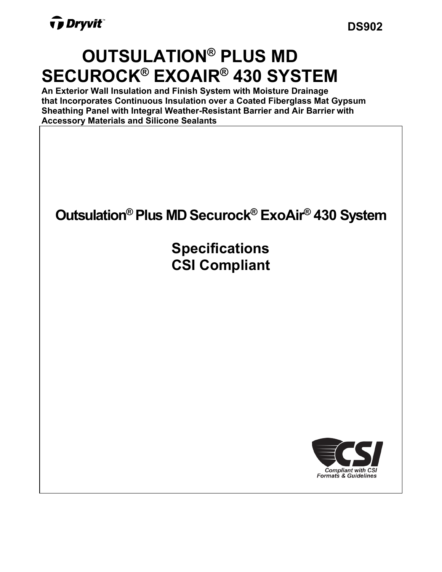**DS902**

# **OUTSULATION® PLUS MD SECUROCK® EXOAIR® 430 SYSTEM**

**An Exterior Wall Insulation and Finish System with Moisture Drainage that Incorporates Continuous Insulation over a Coated Fiberglass Mat Gypsum Sheathing Panel with Integral Weather-Resistant Barrier and Air Barrier with Accessory Materials and Silicone Sealants**



**Specifications CSI Compliant**

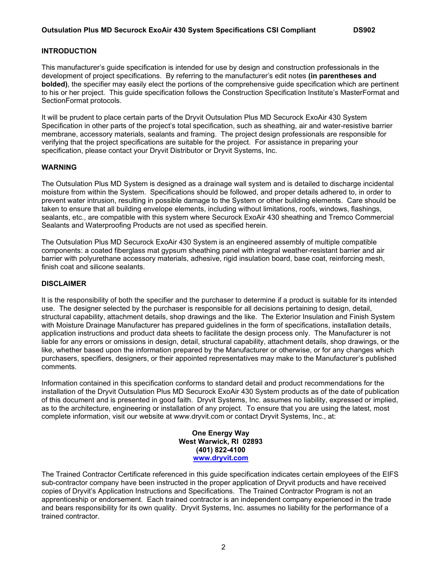#### **INTRODUCTION**

This manufacturer's guide specification is intended for use by design and construction professionals in the development of project specifications. By referring to the manufacturer's edit notes **(in parentheses and bolded)**, the specifier may easily elect the portions of the comprehensive guide specification which are pertinent to his or her project. This guide specification follows the Construction Specification Institute's MasterFormat and SectionFormat protocols.

It will be prudent to place certain parts of the Dryvit Outsulation Plus MD Securock ExoAir 430 System Specification in other parts of the project's total specification, such as sheathing, air and water-resistive barrier membrane, accessory materials, sealants and framing. The project design professionals are responsible for verifying that the project specifications are suitable for the project. For assistance in preparing your specification, please contact your Dryvit Distributor or Dryvit Systems, Inc.

#### **WARNING**

The Outsulation Plus MD System is designed as a drainage wall system and is detailed to discharge incidental moisture from within the System. Specifications should be followed, and proper details adhered to, in order to prevent water intrusion, resulting in possible damage to the System or other building elements. Care should be taken to ensure that all building envelope elements, including without limitations, roofs, windows, flashings, sealants, etc., are compatible with this system where Securock ExoAir 430 sheathing and Tremco Commercial Sealants and Waterproofing Products are not used as specified herein.

The Outsulation Plus MD Securock ExoAir 430 System is an engineered assembly of multiple compatible components: a coated fiberglass mat gypsum sheathing panel with integral weather-resistant barrier and air barrier with polyurethane accessory materials, adhesive, rigid insulation board, base coat, reinforcing mesh, finish coat and silicone sealants.

#### **DISCLAIMER**

It is the responsibility of both the specifier and the purchaser to determine if a product is suitable for its intended use. The designer selected by the purchaser is responsible for all decisions pertaining to design, detail, structural capability, attachment details, shop drawings and the like. The Exterior Insulation and Finish System with Moisture Drainage Manufacturer has prepared guidelines in the form of specifications, installation details, application instructions and product data sheets to facilitate the design process only. The Manufacturer is not liable for any errors or omissions in design, detail, structural capability, attachment details, shop drawings, or the like, whether based upon the information prepared by the Manufacturer or otherwise, or for any changes which purchasers, specifiers, designers, or their appointed representatives may make to the Manufacturer's published comments.

Information contained in this specification conforms to standard detail and product recommendations for the installation of the Dryvit Outsulation Plus MD Securock ExoAir 430 System products as of the date of publication of this document and is presented in good faith. Dryvit Systems, Inc. assumes no liability, expressed or implied, as to the architecture, engineering or installation of any project. To ensure that you are using the latest, most complete information, visit our website at www.dryvit.com or contact Dryvit Systems, Inc., at:

> **One Energy Way West Warwick, RI 02893 (401) 822-4100 [www.dryvit.com](http://www.dryvit.com/)**

The Trained Contractor Certificate referenced in this guide specification indicates certain employees of the EIFS sub-contractor company have been instructed in the proper application of Dryvit products and have received copies of Dryvit's Application Instructions and Specifications. The Trained Contractor Program is not an apprenticeship or endorsement. Each trained contractor is an independent company experienced in the trade and bears responsibility for its own quality. Dryvit Systems, Inc. assumes no liability for the performance of a trained contractor.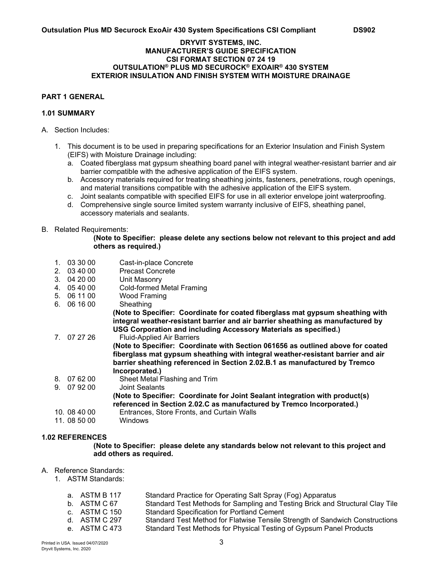#### **DRYVIT SYSTEMS, INC. MANUFACTURER'S GUIDE SPECIFICATION CSI FORMAT SECTION 07 24 19 OUTSULATION® PLUS MD SECUROCK® EXOAIR® 430 SYSTEM EXTERIOR INSULATION AND FINISH SYSTEM WITH MOISTURE DRAINAGE**

# **PART 1 GENERAL**

# **1.01 SUMMARY**

- A. Section Includes:
	- 1. This document is to be used in preparing specifications for an Exterior Insulation and Finish System (EIFS) with Moisture Drainage including:
		- a. Coated fiberglass mat gypsum sheathing board panel with integral weather-resistant barrier and air barrier compatible with the adhesive application of the EIFS system.
		- b. Accessory materials required for treating sheathing joints, fasteners, penetrations, rough openings, and material transitions compatible with the adhesive application of the EIFS system.
		- c. Joint sealants compatible with specified EIFS for use in all exterior envelope joint waterproofing.
		- d. Comprehensive single source limited system warranty inclusive of EIFS, sheathing panel, accessory materials and sealants.

#### B. Related Requirements:

#### **(Note to Specifier: please delete any sections below not relevant to this project and add others as required.)**

- 1. 03 30 00 Cast-in-place Concrete
- 2. 03 40 00 Precast Concrete
- 3. 04 20 00 Unit Masonry<br>4. 05 40 00 Cold-formed N
- Cold-formed Metal Framing
- 5. 06 11 00 Wood Framing
- $6.061600$

**(Note to Specifier: Coordinate for coated fiberglass mat gypsum sheathing with integral weather-resistant barrier and air barrier sheathing as manufactured by USG Corporation and including Accessory Materials as specified.)** 

- 7. 07 27 26 Fluid-Applied Air Barriers **(Note to Specifier: Coordinate with Section 061656 as outlined above for coated fiberglass mat gypsum sheathing with integral weather-resistant barrier and air barrier sheathing referenced in Section 2.02.B.1 as manufactured by Tremco Incorporated.)**  8. 07 62 00 Sheet Metal Flashing and Trim 9. 07 92 00 Joint Sealants **(Note to Specifier: Coordinate for Joint Sealant integration with product(s) referenced in Section 2.02.C as manufactured by Tremco Incorporated.)**  10. 08 40 00 Entrances, Store Fronts, and Curtain Walls
- 11. 08 50 00

### **1.02 REFERENCES**

**(Note to Specifier: please delete any standards below not relevant to this project and add others as required.** 

#### A. Reference Standards:

- 1. ASTM Standards:
	- a. ASTM B 117 Standard Practice for Operating Salt Spray (Fog) Apparatus b. ASTM C 67 Standard Test Methods for Sampling and Testing Brick and Structural Clay Tile c. ASTM C 150 Standard Specification for Portland Cement
	- c. ASTM C 150 Standard Specification for Portland Cement<br>d. ASTM C 297 Standard Test Method for Flatwise Tensile S
	- d. ASTM C 297 Standard Test Method for Flatwise Tensile Strength of Sandwich Constructions<br>e. ASTM C 473 Standard Test Methods for Physical Testing of Gypsum Panel Products
		- [Standard Test Methods for Physical Testing of Gypsum Panel Products](https://www.astm.org/Standards/C473.htm)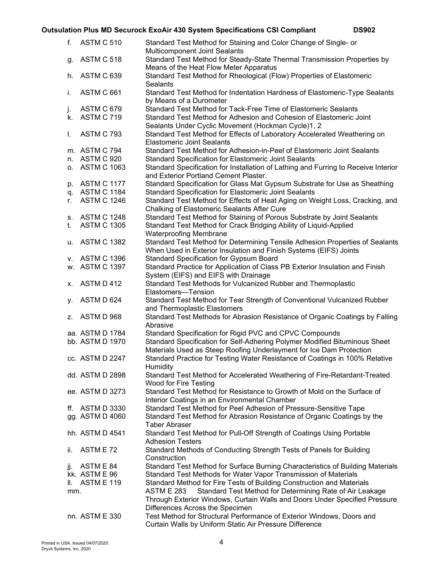| f.    | ASTM C 510         | Standard Test Method for Staining and Color Change of Single- or<br>Multicomponent Joint Sealants     |
|-------|--------------------|-------------------------------------------------------------------------------------------------------|
| g.    | <b>ASTM C 518</b>  | Standard Test Method for Steady-State Thermal Transmission Properties by                              |
|       |                    | Means of the Heat Flow Meter Apparatus                                                                |
| h.    | ASTM C 639         | Standard Test Method for Rheological (Flow) Properties of Elastomeric<br><b>Sealants</b>              |
| i.    | ASTM C 661         | Standard Test Method for Indentation Hardness of Elastomeric-Type Sealants<br>by Means of a Durometer |
| j.    | ASTM C 679         | Standard Test Method for Tack-Free Time of Elastomeric Sealants                                       |
|       | k. ASTM C 719      | Standard Test Method for Adhesion and Cohesion of Elastomeric Joint                                   |
|       |                    | Sealants Under Cyclic Movement (Hockman Cycle)1, 2                                                    |
| I.    | <b>ASTM C 793</b>  | Standard Test Method for Effects of Laboratory Accelerated Weathering on                              |
|       |                    | <b>Elastomeric Joint Sealants</b>                                                                     |
|       |                    |                                                                                                       |
|       | m. ASTM C 794      | Standard Test Method for Adhesion-in-Peel of Elastomeric Joint Sealants                               |
|       | n. ASTM C 920      | <b>Standard Specification for Elastomeric Joint Sealants</b>                                          |
|       | o. ASTM C 1063     | Standard Specification for Installation of Lathing and Furring to Receive Interior                    |
|       |                    | and Exterior Portland Cement Plaster.                                                                 |
|       | p. ASTM C 1177     | Standard Specification for Glass Mat Gypsum Substrate for Use as Sheathing                            |
|       | q. ASTM C 1184     | Standard Specification for Elastomeric Joint Sealants                                                 |
| r.    | <b>ASTM C 1246</b> | Standard Test Method for Effects of Heat Aging on Weight Loss, Cracking, and                          |
|       |                    | Chalking of Elastomeric Sealants After Cure                                                           |
|       | s. ASTM C 1248     | Standard Test Method for Staining of Porous Substrate by Joint Sealants                               |
| t.    | <b>ASTM C 1305</b> | Standard Test Method for Crack Bridging Ability of Liquid-Applied                                     |
|       |                    | <b>Waterproofing Membrane</b>                                                                         |
|       | u. ASTM C 1382     | Standard Test Method for Determining Tensile Adhesion Properties of Sealants                          |
|       |                    | When Used in Exterior Insulation and Finish Systems (EIFS) Joints                                     |
|       | v. ASTM C 1396     | <b>Standard Specification for Gypsum Board</b>                                                        |
|       | w. ASTM C 1397     | Standard Practice for Application of Class PB Exterior Insulation and Finish                          |
|       |                    | System (EIFS) and EIFS with Drainage                                                                  |
| х.    | ASTM D 412         | Standard Test Methods for Vulcanized Rubber and Thermoplastic                                         |
|       |                    | Elastomers-Tension                                                                                    |
| у.    | ASTM D 624         | Standard Test Method for Tear Strength of Conventional Vulcanized Rubber                              |
|       |                    | and Thermoplastic Elastomers                                                                          |
|       | z. ASTM D 968      | Standard Test Methods for Abrasion Resistance of Organic Coatings by Falling                          |
|       |                    | Abrasive                                                                                              |
|       | aa. ASTM D 1784    | Standard Specification for Rigid PVC and CPVC Compounds                                               |
|       | bb. ASTM D 1970    | Standard Specification for Self-Adhering Polymer Modified Bituminous Sheet                            |
|       |                    | Materials Used as Steep Roofing Underlayment for Ice Dam Protection                                   |
|       | cc. ASTM D 2247    | Standard Practice for Testing Water Resistance of Coatings in 100% Relative                           |
|       |                    | Humidity                                                                                              |
|       | dd. ASTM D 2898    | Standard Test Method for Accelerated Weathering of Fire-Retardant-Treated                             |
|       |                    | Wood for Fire Testing                                                                                 |
|       | ee. ASTM D 3273    | Standard Test Method for Resistance to Growth of Mold on the Surface of                               |
|       |                    | Interior Coatings in an Environmental Chamber                                                         |
| ff.   | <b>ASTM D 3330</b> | Standard Test Method for Peel Adhesion of Pressure-Sensitive Tape                                     |
|       | gg. ASTM D 4060    | Standard Test Method for Abrasion Resistance of Organic Coatings by the                               |
|       |                    | <b>Taber Abraser</b>                                                                                  |
|       | hh. ASTM D 4541    | Standard Test Method for Pull-Off Strength of Coatings Using Portable                                 |
|       |                    | <b>Adhesion Testers</b>                                                                               |
| ii.   | ASTM E 72          | Standard Methods of Conducting Strength Tests of Panels for Building                                  |
|       |                    | Construction                                                                                          |
| jj.   | ASTM E 84          | Standard Test Method for Surface Burning Characteristics of Building Materials                        |
|       | kk. ASTM E 96      | Standard Test Methods for Water Vapor Transmission of Materials                                       |
| II. – | <b>ASTM E 119</b>  | Standard Method for Fire Tests of Building Construction and Materials                                 |
| mm.   |                    | Standard Test Method for Determining Rate of Air Leakage<br><b>ASTM E 283</b>                         |
|       |                    | Through Exterior Windows, Curtain Walls and Doors Under Specified Pressure                            |
|       |                    | Differences Across the Specimen                                                                       |
|       | nn. ASTM E 330     | Test Method for Structural Performance of Exterior Windows, Doors and                                 |
|       |                    | Curtain Walls by Uniform Static Air Pressure Difference                                               |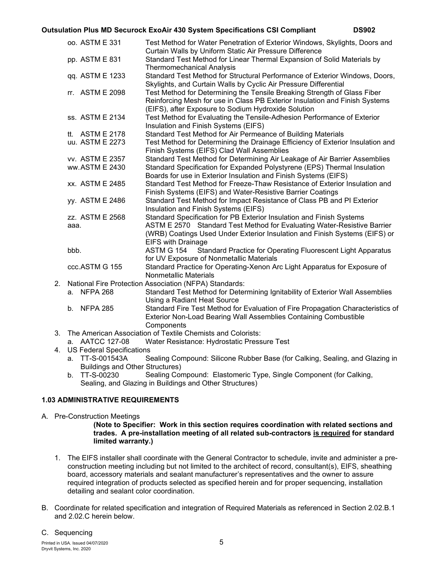|                                                                   | oo. ASTM E 331     |  | Test Method for Water Penetration of Exterior Windows, Skylights, Doors and<br>Curtain Walls by Uniform Static Air Pressure Difference                                                                         |  |  |  |
|-------------------------------------------------------------------|--------------------|--|----------------------------------------------------------------------------------------------------------------------------------------------------------------------------------------------------------------|--|--|--|
|                                                                   | pp. ASTM E 831     |  | Standard Test Method for Linear Thermal Expansion of Solid Materials by                                                                                                                                        |  |  |  |
|                                                                   |                    |  | <b>Thermomechanical Analysis</b>                                                                                                                                                                               |  |  |  |
|                                                                   | qq. ASTM E 1233    |  | Standard Test Method for Structural Performance of Exterior Windows, Doors,<br>Skylights, and Curtain Walls by Cyclic Air Pressure Differential                                                                |  |  |  |
|                                                                   | rr. ASTM E 2098    |  | Test Method for Determining the Tensile Breaking Strength of Glass Fiber<br>Reinforcing Mesh for use in Class PB Exterior Insulation and Finish Systems<br>(EIFS), after Exposure to Sodium Hydroxide Solution |  |  |  |
|                                                                   | ss. ASTM E 2134    |  | Test Method for Evaluating the Tensile-Adhesion Performance of Exterior<br>Insulation and Finish Systems (EIFS)                                                                                                |  |  |  |
|                                                                   | tt. ASTM E 2178    |  | Standard Test Method for Air Permeance of Building Materials                                                                                                                                                   |  |  |  |
|                                                                   | uu. ASTM E 2273    |  | Test Method for Determining the Drainage Efficiency of Exterior Insulation and                                                                                                                                 |  |  |  |
|                                                                   |                    |  | Finish Systems (EIFS) Clad Wall Assemblies                                                                                                                                                                     |  |  |  |
|                                                                   | vv. ASTM E 2357    |  | Standard Test Method for Determining Air Leakage of Air Barrier Assemblies                                                                                                                                     |  |  |  |
|                                                                   | ww.ASTM E 2430     |  | Standard Specification for Expanded Polystyrene (EPS) Thermal Insulation                                                                                                                                       |  |  |  |
|                                                                   |                    |  | Boards for use in Exterior Insulation and Finish Systems (EIFS)                                                                                                                                                |  |  |  |
|                                                                   | xx. ASTM E 2485    |  | Standard Test Method for Freeze-Thaw Resistance of Exterior Insulation and                                                                                                                                     |  |  |  |
|                                                                   |                    |  | Finish Systems (EIFS) and Water-Resistive Barrier Coatings                                                                                                                                                     |  |  |  |
|                                                                   | yy. ASTM E 2486    |  | Standard Test Method for Impact Resistance of Class PB and PI Exterior                                                                                                                                         |  |  |  |
|                                                                   |                    |  | Insulation and Finish Systems (EIFS)                                                                                                                                                                           |  |  |  |
|                                                                   | zz. ASTM E 2568    |  | Standard Specification for PB Exterior Insulation and Finish Systems                                                                                                                                           |  |  |  |
|                                                                   | aaa.               |  | ASTM E 2570 Standard Test Method for Evaluating Water-Resistive Barrier                                                                                                                                        |  |  |  |
|                                                                   |                    |  | (WRB) Coatings Used Under Exterior Insulation and Finish Systems (EIFS) or                                                                                                                                     |  |  |  |
|                                                                   |                    |  | <b>EIFS with Drainage</b>                                                                                                                                                                                      |  |  |  |
|                                                                   | bbb.               |  | <b>ASTM G 154</b><br>Standard Practice for Operating Fluorescent Light Apparatus                                                                                                                               |  |  |  |
|                                                                   |                    |  | for UV Exposure of Nonmetallic Materials                                                                                                                                                                       |  |  |  |
|                                                                   | ccc.ASTM G 155     |  | Standard Practice for Operating-Xenon Arc Light Apparatus for Exposure of                                                                                                                                      |  |  |  |
|                                                                   |                    |  | <b>Nonmetallic Materials</b>                                                                                                                                                                                   |  |  |  |
| 2.                                                                |                    |  | National Fire Protection Association (NFPA) Standards:                                                                                                                                                         |  |  |  |
|                                                                   | a. NFPA 268        |  | Standard Test Method for Determining Ignitability of Exterior Wall Assemblies                                                                                                                                  |  |  |  |
|                                                                   |                    |  | Using a Radiant Heat Source                                                                                                                                                                                    |  |  |  |
|                                                                   | b. NFPA 285        |  | Standard Fire Test Method for Evaluation of Fire Propagation Characteristics of                                                                                                                                |  |  |  |
|                                                                   |                    |  | Exterior Non-Load Bearing Wall Assemblies Containing Combustible                                                                                                                                               |  |  |  |
|                                                                   |                    |  | Components                                                                                                                                                                                                     |  |  |  |
| The American Association of Textile Chemists and Colorists:<br>3. |                    |  |                                                                                                                                                                                                                |  |  |  |
|                                                                   | a. AATCC 127-08    |  | Water Resistance: Hydrostatic Pressure Test                                                                                                                                                                    |  |  |  |
| <b>US Federal Specifications</b><br>4.                            |                    |  |                                                                                                                                                                                                                |  |  |  |
|                                                                   | TT-S-001543A<br>a. |  | Sealing Compound: Silicone Rubber Base (for Calking, Sealing, and Glazing in                                                                                                                                   |  |  |  |
|                                                                   |                    |  | <b>Buildings and Other Structures)</b>                                                                                                                                                                         |  |  |  |

b. TT-S-00230 Sealing Compound: Elastomeric Type, Single Component (for Calking, Sealing, and Glazing in Buildings and Other Structures)

# **1.03 ADMINISTRATIVE REQUIREMENTS**

A. Pre-Construction Meetings

**(Note to Specifier: Work in this section requires coordination with related sections and trades. A pre-installation meeting of all related sub-contractors is required for standard limited warranty.)**

- 1. The EIFS installer shall coordinate with the General Contractor to schedule, invite and administer a preconstruction meeting including but not limited to the architect of record, consultant(s), EIFS, sheathing board, accessory materials and sealant manufacturer's representatives and the owner to assure required integration of products selected as specified herein and for proper sequencing, installation detailing and sealant color coordination.
- B. Coordinate for related specification and integration of Required Materials as referenced in Section 2.02.B.1 and 2.02.C herein below.

C. Sequencing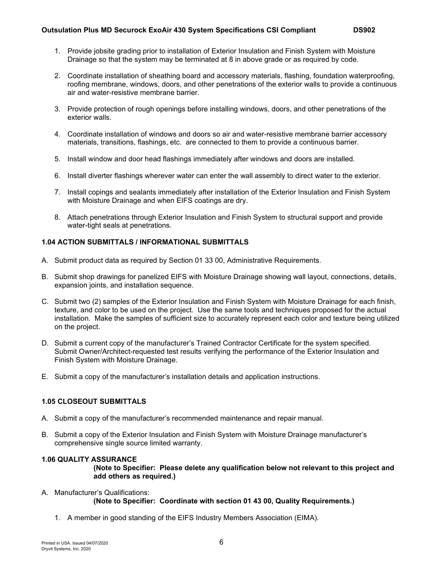- 1. Provide jobsite grading prior to installation of Exterior Insulation and Finish System with Moisture Drainage so that the system may be terminated at 8 in above grade or as required by code.
- 2. Coordinate installation of sheathing board and accessory materials, flashing, foundation waterproofing, roofing membrane, windows, doors, and other penetrations of the exterior walls to provide a continuous air and water-resistive membrane barrier.
- 3. Provide protection of rough openings before installing windows, doors, and other penetrations of the exterior walls.
- 4. Coordinate installation of windows and doors so air and water-resistive membrane barrier accessory materials, transitions, flashings, etc. are connected to them to provide a continuous barrier.
- 5. Install window and door head flashings immediately after windows and doors are installed.
- 6. Install diverter flashings wherever water can enter the wall assembly to direct water to the exterior.
- 7. Install copings and sealants immediately after installation of the Exterior Insulation and Finish System with Moisture Drainage and when EIFS coatings are dry.
- 8. Attach penetrations through Exterior Insulation and Finish System to structural support and provide water-tight seals at penetrations.

### **1.04 ACTION SUBMITTALS / INFORMATIONAL SUBMITTALS**

- A. Submit product data as required by Section 01 33 00, Administrative Requirements.
- B. Submit shop drawings for panelized EIFS with Moisture Drainage showing wall layout, connections, details, expansion joints, and installation sequence.
- C. Submit two (2) samples of the Exterior Insulation and Finish System with Moisture Drainage for each finish, texture, and color to be used on the project. Use the same tools and techniques proposed for the actual installation. Make the samples of sufficient size to accurately represent each color and texture being utilized on the project.
- D. Submit a current copy of the manufacturer's Trained Contractor Certificate for the system specified. Submit Owner/Architect-requested test results verifying the performance of the Exterior Insulation and Finish System with Moisture Drainage.
- E. Submit a copy of the manufacturer's installation details and application instructions.

# **1.05 CLOSEOUT SUBMITTALS**

- A. Submit a copy of the manufacturer's recommended maintenance and repair manual.
- B. Submit a copy of the Exterior Insulation and Finish System with Moisture Drainage manufacturer's comprehensive single source limited warranty.

#### **1.06 QUALITY ASSURANCE**

**(Note to Specifier: Please delete any qualification below not relevant to this project and add others as required.)**

- A. Manufacturer's Qualifications: **(Note to Specifier: Coordinate with section 01 43 00, Quality Requirements.)**
	- 1. A member in good standing of the EIFS Industry Members Association (EIMA).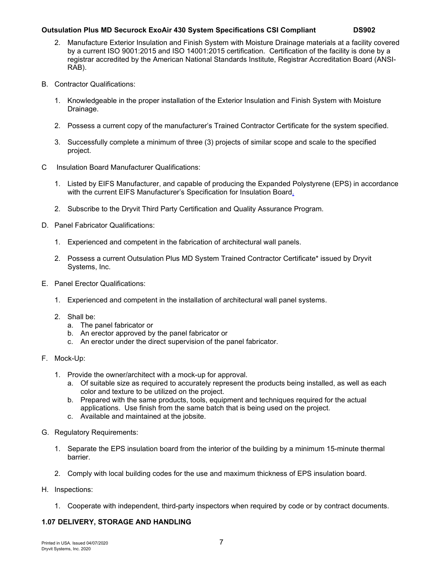- 2. Manufacture Exterior Insulation and Finish System with Moisture Drainage materials at a facility covered by a current ISO 9001:2015 and ISO 14001:2015 certification. Certification of the facility is done by a registrar accredited by the American National Standards Institute, Registrar Accreditation Board (ANSI-RAB).
- B. Contractor Qualifications:
	- 1. Knowledgeable in the proper installation of the Exterior Insulation and Finish System with Moisture Drainage.
	- 2. Possess a current copy of the manufacturer's Trained Contractor Certificate for the system specified.
	- 3. Successfully complete a minimum of three (3) projects of similar scope and scale to the specified project.
- C Insulation Board Manufacturer Qualifications:
	- 1. Listed by EIFS Manufacturer, and capable of producing the Expanded Polystyrene (EPS) in accordance with the current EIFS Manufacturer's Specification for Insulation Board.
	- 2. Subscribe to the Dryvit Third Party Certification and Quality Assurance Program.
- D. Panel Fabricator Qualifications:
	- 1. Experienced and competent in the fabrication of architectural wall panels.
	- 2. Possess a current Outsulation Plus MD System Trained Contractor Certificate\* issued by Dryvit Systems, Inc.
- E. Panel Erector Qualifications:
	- 1. Experienced and competent in the installation of architectural wall panel systems.
	- 2. Shall be:
		- a. The panel fabricator or
		- b. An erector approved by the panel fabricator or
		- c. An erector under the direct supervision of the panel fabricator.
- F. Mock-Up:
	- 1. Provide the owner/architect with a mock-up for approval.
		- a. Of suitable size as required to accurately represent the products being installed, as well as each color and texture to be utilized on the project.
		- b. Prepared with the same products, tools, equipment and techniques required for the actual applications. Use finish from the same batch that is being used on the project.
		- c. Available and maintained at the jobsite.
- G. Regulatory Requirements:
	- 1. Separate the EPS insulation board from the interior of the building by a minimum 15-minute thermal barrier.
	- 2. Comply with local building codes for the use and maximum thickness of EPS insulation board.
- H. Inspections:
	- 1. Cooperate with independent, third-party inspectors when required by code or by contract documents.

### **1.07 DELIVERY, STORAGE AND HANDLING**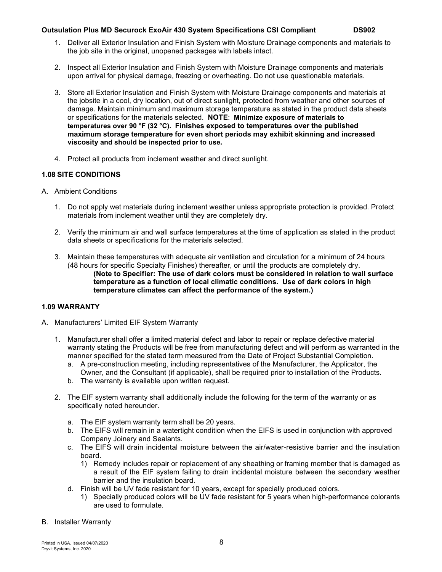- 1. Deliver all Exterior Insulation and Finish System with Moisture Drainage components and materials to the job site in the original, unopened packages with labels intact.
- 2. Inspect all Exterior Insulation and Finish System with Moisture Drainage components and materials upon arrival for physical damage, freezing or overheating. Do not use questionable materials.
- 3. Store all Exterior Insulation and Finish System with Moisture Drainage components and materials at the jobsite in a cool, dry location, out of direct sunlight, protected from weather and other sources of damage. Maintain minimum and maximum storage temperature as stated in the product data sheets or specifications for the materials selected. **NOTE**: **Minimize exposure of materials to temperatures over 90 °F (32 °C). Finishes exposed to temperatures over the published maximum storage temperature for even short periods may exhibit skinning and increased viscosity and should be inspected prior to use.**
- 4. Protect all products from inclement weather and direct sunlight.

# **1.08 SITE CONDITIONS**

- A. Ambient Conditions
	- 1. Do not apply wet materials during inclement weather unless appropriate protection is provided. Protect materials from inclement weather until they are completely dry.
	- 2. Verify the minimum air and wall surface temperatures at the time of application as stated in the product data sheets or specifications for the materials selected.
	- 3. Maintain these temperatures with adequate air ventilation and circulation for a minimum of 24 hours (48 hours for specific Specialty Finishes) thereafter, or until the products are completely dry. **(Note to Specifier: The use of dark colors must be considered in relation to wall surface temperature as a function of local climatic conditions. Use of dark colors in high temperature climates can affect the performance of the system.)**

### **1.09 WARRANTY**

- A. Manufacturers' Limited EIF System Warranty
	- 1. Manufacturer shall offer a limited material defect and labor to repair or replace defective material warranty stating the Products will be free from manufacturing defect and will perform as warranted in the manner specified for the stated term measured from the Date of Project Substantial Completion.
		- a. A pre-construction meeting, including representatives of the Manufacturer, the Applicator, the Owner, and the Consultant (if applicable), shall be required prior to installation of the Products.
		- b. The warranty is available upon written request.
	- 2. The EIF system warranty shall additionally include the following for the term of the warranty or as specifically noted hereunder.
		- a. The EIF system warranty term shall be 20 years.
		- b. The EIFS will remain in a watertight condition when the EIFS is used in conjunction with approved Company Joinery and Sealants.
		- c. The EIFS will drain incidental moisture between the air/water-resistive barrier and the insulation board.
			- 1) Remedy includes repair or replacement of any sheathing or framing member that is damaged as a result of the EIF system failing to drain incidental moisture between the secondary weather barrier and the insulation board.
		- d. Finish will be UV fade resistant for 10 years, except for specially produced colors.
			- 1) Specially produced colors will be UV fade resistant for 5 years when high-performance colorants are used to formulate.
- B. Installer Warranty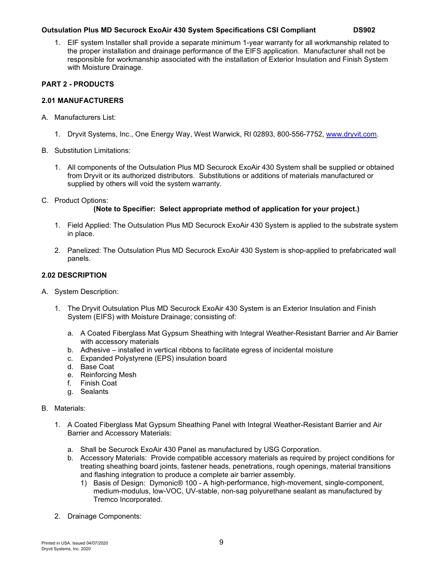1. EIF system Installer shall provide a separate minimum 1-year warranty for all workmanship related to the proper installation and drainage performance of the EIFS application. Manufacturer shall not be responsible for workmanship associated with the installation of Exterior Insulation and Finish System with Moisture Drainage.

# **PART 2 - PRODUCTS**

#### **2.01 MANUFACTURERS**

- A. Manufacturers List:
	- 1. Dryvit Systems, Inc., One Energy Way, West Warwick, RI 02893, 800-556-7752, [www.dryvit.com.](file://dry-ri-file/public/Marketing/Desktop%20Publishing/1%20-%20US%20DOCUMENTS/3%20-%20Specifications/ds853%20OPMD%20CSI%20Compliant%20Spec/www.dryvit.com)
- B. Substitution Limitations:
	- 1. All components of the Outsulation Plus MD Securock ExoAir 430 System shall be supplied or obtained from Dryvit or its authorized distributors. Substitutions or additions of materials manufactured or supplied by others will void the system warranty.
- C. Product Options:

### **(Note to Specifier: Select appropriate method of application for your project.)**

- 1. Field Applied: The Outsulation Plus MD Securock ExoAir 430 System is applied to the substrate system in place.
- 2. Panelized: The Outsulation Plus MD Securock ExoAir 430 System is shop-applied to prefabricated wall panels.

#### **2.02 DESCRIPTION**

- A. System Description:
	- 1. The Dryvit Outsulation Plus MD Securock ExoAir 430 System is an Exterior Insulation and Finish System (EIFS) with Moisture Drainage; consisting of:
		- a. A Coated Fiberglass Mat Gypsum Sheathing with Integral Weather-Resistant Barrier and Air Barrier with accessory materials
		- b. Adhesive installed in vertical ribbons to facilitate egress of incidental moisture
		- c. Expanded Polystyrene (EPS) insulation board
		- d. Base Coat
		- e. Reinforcing Mesh
		- f. Finish Coat
		- g. Sealants

#### B. Materials:

- 1. A Coated Fiberglass Mat Gypsum Sheathing Panel with Integral Weather-Resistant Barrier and Air Barrier and Accessory Materials:
	- a. Shall be Securock ExoAir 430 Panel as manufactured by USG Corporation.
	- b. Accessory Materials: Provide compatible accessory materials as required by project conditions for treating sheathing board joints, fastener heads, penetrations, rough openings, material transitions and flashing integration to produce a complete air barrier assembly.
		- 1) Basis of Design: Dymonic® 100 A high-performance, high-movement, single-component, medium-modulus, low-VOC, UV-stable, non-sag polyurethane sealant as manufactured by Tremco Incorporated.
- 2. Drainage Components: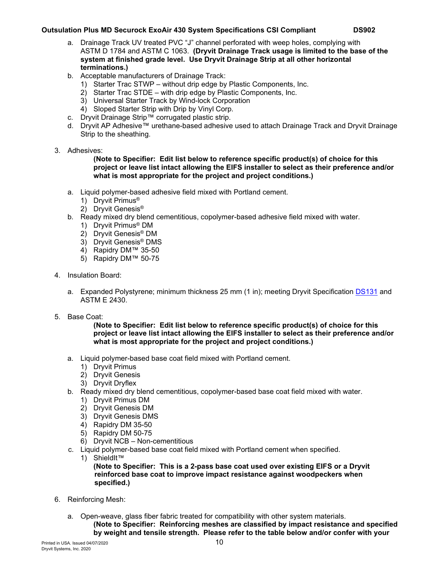- a. Drainage Track UV treated PVC "J" channel perforated with weep holes, complying with ASTM D 1784 and ASTM C 1063. **(Dryvit Drainage Track usage is limited to the base of the system at finished grade level. Use Dryvit Drainage Strip at all other horizontal terminations.)**
- b. Acceptable manufacturers of Drainage Track:
	- 1) Starter Trac STWP without drip edge by Plastic Components, Inc.
	- 2) Starter Trac STDE with drip edge by Plastic Components, Inc.
	- 3) Universal Starter Track by Wind-lock Corporation
	- 4) Sloped Starter Strip with Drip by Vinyl Corp.
- c. Dryvit Drainage Strip™ corrugated plastic strip.
- d. Dryvit AP Adhesive™ urethane-based adhesive used to attach Drainage Track and Dryvit Drainage Strip to the sheathing.
- 3. Adhesives:

**(Note to Specifier: Edit list below to reference specific product(s) of choice for this project or leave list intact allowing the EIFS installer to select as their preference and/or what is most appropriate for the project and project conditions.)**

- a. Liquid polymer-based adhesive field mixed with Portland cement.
	- 1) Dryvit Primus®
	- 2) Dryvit Genesis®
- b. Ready mixed dry blend cementitious, copolymer-based adhesive field mixed with water.
	- 1) Dryvit Primus® DM
	- 2) Dryvit Genesis® DM
	- 3) Dryvit Genesis® DMS
	- 4) Rapidry DM™ 35-50
	- 5) Rapidry DM™ 50-75
- 4. Insulation Board:
	- a. Expanded Polystyrene; minimum thickness 25 mm (1 in); meeting Dryvit Specification [DS131](http://www.dryvit.com/media/202095/ds131_expanded-polystyrene-eps-insulation-board-specifications.pdf) and ASTM E 2430.
- 5. Base Coat:

**(Note to Specifier: Edit list below to reference specific product(s) of choice for this project or leave list intact allowing the EIFS installer to select as their preference and/or what is most appropriate for the project and project conditions.)**

- a. Liquid polymer-based base coat field mixed with Portland cement.
	- 1) Dryvit Primus
	- 2) Dryvit Genesis
	- 3) Dryvit Dryflex
- b. Ready mixed dry blend cementitious, copolymer-based base coat field mixed with water.
	- 1) Dryvit Primus DM
	- 2) Dryvit Genesis DM
	- 3) Dryvit Genesis DMS
	- 4) Rapidry DM 35-50
	- 5) Rapidry DM 50-75
	- 6) Dryvit NCB Non-cementitious
- c. Liquid polymer-based base coat field mixed with Portland cement when specified.
	- 1) ShieldIt™

**(Note to Specifier: This is a 2-pass base coat used over existing EIFS or a Dryvit reinforced base coat to improve impact resistance against woodpeckers when specified.)**

- 6. Reinforcing Mesh:
	- a. Open-weave, glass fiber fabric treated for compatibility with other system materials. **(Note to Specifier: Reinforcing meshes are classified by impact resistance and specified by weight and tensile strength. Please refer to the table below and/or confer with your**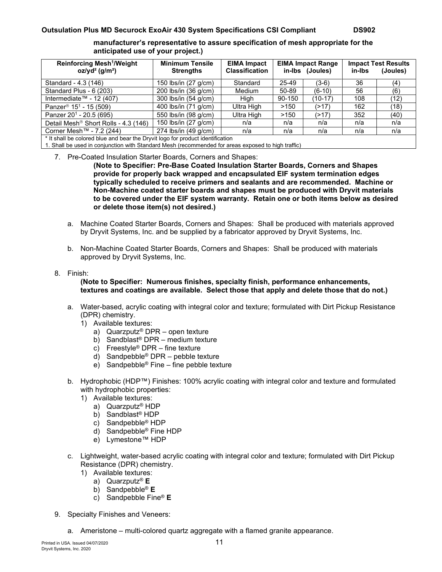**manufacturer's representative to assure specification of mesh appropriate for the anticipated use of your project.)**

| Reinforcing Mesh <sup>1</sup> /Weight<br>$oz/yd^2$ (g/m <sup>2</sup> )         | <b>Minimum Tensile</b><br><b>Strengths</b> | <b>EIMA Impact</b><br><b>Classification</b> | <b>EIMA Impact Range</b><br>in-Ibs (Joules) |          | <b>Impact Test Results</b><br>(Joules)<br>in-Ibs |      |  |  |  |
|--------------------------------------------------------------------------------|--------------------------------------------|---------------------------------------------|---------------------------------------------|----------|--------------------------------------------------|------|--|--|--|
| Standard - 4.3 (146)                                                           | 150 lbs/in (27 g/cm)                       | Standard                                    | 25-49                                       | $(3-6)$  | 36                                               | (4)  |  |  |  |
| Standard Plus - 6 (203)                                                        | 200 lbs/in (36 g/cm)                       | Medium                                      | 50-89                                       | $(6-10)$ | 56                                               | (6)  |  |  |  |
| Intermediate™ - 12 (407)                                                       | 300 lbs/in (54 g/cm)                       | High                                        | 90-150                                      | (10-17)  | 108                                              | (12) |  |  |  |
| Panzer <sup>®</sup> 15 <sup>1</sup> - 15 (509)                                 | 400 lbs/in (71 g/cm)                       | Ultra High                                  | >150                                        | (217)    | 162                                              | (18) |  |  |  |
| Panzer 20 <sup>1</sup> - 20.5 (695)                                            | 550 lbs/in (98 g/cm)                       | Ultra High                                  | >150                                        | (>17)    | 352                                              | (40) |  |  |  |
| Detail Mesh <sup>®</sup> Short Rolls - 4.3 (146)                               | 150 lbs/in (27 g/cm)                       | n/a                                         | n/a                                         | n/a      | n/a                                              | n/a  |  |  |  |
| Corner Mesh™ - 7.2 (244)                                                       | 274 lbs/in (49 g/cm)                       | n/a                                         | n/a                                         | n/a      | n/a                                              | n/a  |  |  |  |
| * It shall be colored blue and bear the Dryvit logo for product identification |                                            |                                             |                                             |          |                                                  |      |  |  |  |

1. Shall be used in conjunction with Standard Mesh (recommended for areas exposed to high traffic)

#### 7. Pre-Coated Insulation Starter Boards, Corners and Shapes:

**(Note to Specifier: Pre-Base Coated Insulation Starter Boards, Corners and Shapes provide for properly back wrapped and encapsulated EIF system termination edges typically scheduled to receive primers and sealants and are recommended. Machine or Non-Machine coated starter boards and shapes must be produced with Dryvit materials to be covered under the EIF system warranty. Retain one or both items below as desired or delete those item(s) not desired.)**

- a. Machine Coated Starter Boards, Corners and Shapes: Shall be produced with materials approved by Dryvit Systems, Inc. and be supplied by a fabricator approved by Dryvit Systems, Inc.
- b. Non-Machine Coated Starter Boards, Corners and Shapes: Shall be produced with materials approved by Dryvit Systems, Inc.

#### 8. Finish:

#### **(Note to Specifier: Numerous finishes, specialty finish, performance enhancements, textures and coatings are available. Select those that apply and delete those that do not.)**

- a. Water-based, acrylic coating with integral color and texture; formulated with Dirt Pickup Resistance (DPR) chemistry.
	- 1) Available textures:
		- a) Quarzputz® DPR open texture
		- b) Sandblast® DPR medium texture
		- c) Freestyle<sup>®</sup> DPR fine texture
		- d) Sandpebble® DPR pebble texture
		- e) Sandpebble® Fine fine pebble texture
- b. Hydrophobic (HDP™) Finishes: 100% acrylic coating with integral color and texture and formulated with hydrophobic properties:
	- 1) Available textures:
		- a) Quarzputz® HDP
		- b) Sandblast® HDP
		- c) Sandpebble® HDP
		- d) Sandpebble® Fine HDP
		- e) Lymestone™ HDP
- c. Lightweight, water-based acrylic coating with integral color and texture; formulated with Dirt Pickup Resistance (DPR) chemistry.
	- 1) Available textures:
		- a) Quarzputz® **E**
		- b) Sandpebble® **E**
		- c) Sandpebble Fine® **E**
- 9. Specialty Finishes and Veneers:
	- a. Ameristone multi-colored quartz aggregate with a flamed granite appearance.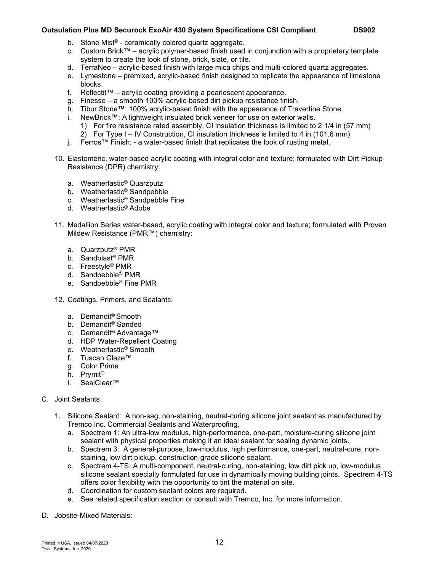- b. Stone Mist® ceramically colored quartz aggregate.
- c. Custom Brick™ acrylic polymer-based finish used in conjunction with a proprietary template system to create the look of stone, brick, slate, or tile.
- d. TerraNeo acrylic-based finish with large mica chips and multi-colored quartz aggregates.
- e. Lymestone premixed, acrylic-based finish designed to replicate the appearance of limestone blocks.
- f. Reflectit™ acrylic coating providing a pearlescent appearance.
- g. Finesse a smooth 100% acrylic-based dirt pickup resistance finish.
- h. Tibur Stone™: 100% acrylic-based finish with the appearance of Travertine Stone.<br>i. NewBrick™: A lightweight insulated brick veneer for use on exterior walls
- NewBrick™: A lightweight insulated brick veneer for use on exterior walls.
	- 1) For fire resistance rated assembly, CI insulation thickness is limited to 2 1/4 in (57 mm)
- 2) For Type I IV Construction, CI insulation thickness is limited to 4 in (101.6 mm)
- j. Ferros™ Finish: a water-based finish that replicates the look of rusting metal.
- 10. Elastomeric, water-based acrylic coating with integral color and texture; formulated with Dirt Pickup Resistance (DPR) chemistry:
	- a. Weatherlastic® Quarzputz
	- b. Weatherlastic® Sandpebble
	- c. Weatherlastic® Sandpebble Fine
	- d. Weatherlastic® Adobe
- 11. Medallion Series water-based, acrylic coating with integral color and texture; formulated with Proven Mildew Resistance (PMR™) chemistry:
	- a. Quarzputz® PMR
	- b. Sandblast® PMR
	- c. Freestyle® PMR
	- d. Sandpebble® PMR
	- e. Sandpebble® Fine PMR
- 12. Coatings, Primers, and Sealants:
	- a. Demandit® Smooth
	- b. Demandit® Sanded
	- c. Demandit® Advantage™
	- d. HDP Water-Repellent Coating
	- e. Weatherlastic® Smooth
	- f. Tuscan Glaze™
	- g. Color Prime
	- h. Prymit®
	- i. SealClear™
- C. Joint Sealants:
	- 1. Silicone Sealant: A non-sag, non-staining, neutral-curing silicone joint sealant as manufactured by Tremco Inc. Commercial Sealants and Waterproofing.
		- a. Spectrem 1: An ultra-low modulus, high-performance, one-part, moisture-curing silicone joint sealant with physical properties making it an ideal sealant for sealing dynamic joints.
		- b. Spectrem 3: A general-purpose, low-modulus, high performance, one-part, neutral-cure, nonstaining, low dirt pickup, construction-grade silicone sealant.
		- c. Spectrem 4-TS: A multi-component, neutral-curing, non-staining, low dirt pick up, low-modulus silicone sealant specially formulated for use in dynamically moving building joints. Spectrem 4-TS offers color flexibility with the opportunity to tint the material on site.
		- d. Coordination for custom sealant colors are required.
		- e. See related specification section or consult with Tremco, Inc. for more information.
- D. Jobsite-Mixed Materials: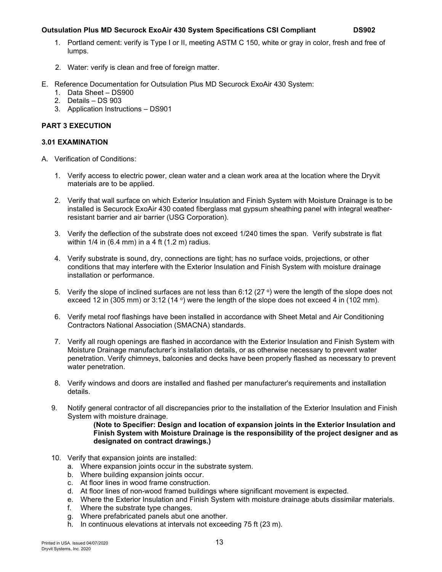- 1. Portland cement: verify is Type I or II, meeting ASTM C 150, white or gray in color, fresh and free of lumps.
- 2. Water: verify is clean and free of foreign matter.
- E. Reference Documentation for Outsulation Plus MD Securock ExoAir 430 System:
	- 1. Data Sheet DS900
	- 2. Details DS 903
	- 3. Application Instructions DS901

# **PART 3 EXECUTION**

# **3.01 EXAMINATION**

- A. Verification of Conditions:
	- 1. Verify access to electric power, clean water and a clean work area at the location where the Dryvit materials are to be applied.
	- 2. Verify that wall surface on which Exterior Insulation and Finish System with Moisture Drainage is to be installed is Securock ExoAir 430 coated fiberglass mat gypsum sheathing panel with integral weatherresistant barrier and air barrier (USG Corporation).
	- 3. Verify the deflection of the substrate does not exceed 1/240 times the span. Verify substrate is flat within  $1/4$  in (6.4 mm) in a 4 ft (1.2 m) radius.
	- 4. Verify substrate is sound, dry, connections are tight; has no surface voids, projections, or other conditions that may interfere with the Exterior Insulation and Finish System with moisture drainage installation or performance.
	- 5. Verify the slope of inclined surfaces are not less than 6:12 (27  $\circ$ ) were the length of the slope does not exceed 12 in (305 mm) or 3:12 (14 $\degree$ ) were the length of the slope does not exceed 4 in (102 mm).
	- 6. Verify metal roof flashings have been installed in accordance with Sheet Metal and Air Conditioning Contractors National Association (SMACNA) standards.
	- 7. Verify all rough openings are flashed in accordance with the Exterior Insulation and Finish System with Moisture Drainage manufacturer's installation details, or as otherwise necessary to prevent water penetration. Verify chimneys, balconies and decks have been properly flashed as necessary to prevent water penetration.
	- 8. Verify windows and doors are installed and flashed per manufacturer's requirements and installation details.
	- 9. Notify general contractor of all discrepancies prior to the installation of the Exterior Insulation and Finish System with moisture drainage.

**(Note to Specifier: Design and location of expansion joints in the Exterior Insulation and Finish System with Moisture Drainage is the responsibility of the project designer and as designated on contract drawings.)**

- 10. Verify that expansion joints are installed:
	- a. Where expansion joints occur in the substrate system.
	- b. Where building expansion joints occur.
	- c. At floor lines in wood frame construction.
	- d. At floor lines of non-wood framed buildings where significant movement is expected.
	- e. Where the Exterior Insulation and Finish System with moisture drainage abuts dissimilar materials.
	- f. Where the substrate type changes.
	- g. Where prefabricated panels abut one another.
	- h. In continuous elevations at intervals not exceeding 75 ft (23 m).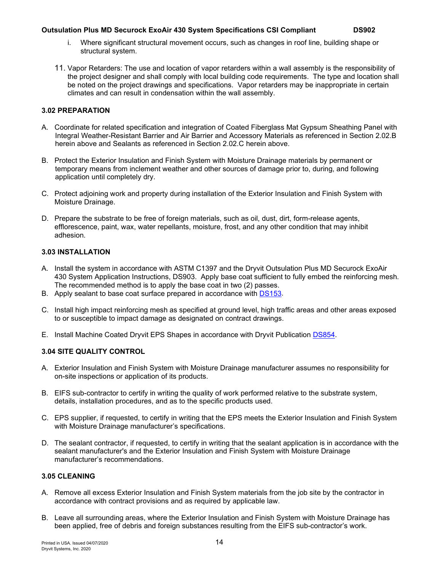- 
- i. Where significant structural movement occurs, such as changes in roof line, building shape or structural system.
- 11. Vapor Retarders: The use and location of vapor retarders within a wall assembly is the responsibility of the project designer and shall comply with local building code requirements. The type and location shall be noted on the project drawings and specifications. Vapor retarders may be inappropriate in certain climates and can result in condensation within the wall assembly.

### **3.02 PREPARATION**

- A. Coordinate for related specification and integration of Coated Fiberglass Mat Gypsum Sheathing Panel with Integral Weather-Resistant Barrier and Air Barrier and Accessory Materials as referenced in Section 2.02.B herein above and Sealants as referenced in Section 2.02.C herein above.
- B. Protect the Exterior Insulation and Finish System with Moisture Drainage materials by permanent or temporary means from inclement weather and other sources of damage prior to, during, and following application until completely dry.
- C. Protect adjoining work and property during installation of the Exterior Insulation and Finish System with Moisture Drainage.
- D. Prepare the substrate to be free of foreign materials, such as oil, dust, dirt, form-release agents, efflorescence, paint, wax, water repellants, moisture, frost, and any other condition that may inhibit adhesion.

# **3.03 INSTALLATION**

- A. Install the system in accordance with ASTM C1397 and the Dryvit Outsulation Plus MD Securock ExoAir 430 System Application Instructions, DS903. Apply base coat sufficient to fully embed the reinforcing mesh. The recommended method is to apply the base coat in two (2) passes.
- B. Apply sealant to base coat surface prepared in accordance with [DS153.](https://www.dryvit.com/fileshare/doc/us/description/ds153.pdf)
- C. Install high impact reinforcing mesh as specified at ground level, high traffic areas and other areas exposed to or susceptible to impact damage as designated on contract drawings.
- E. Install Machine Coated Dryvit EPS Shapes in accordance with Dryvit Publication [DS854.](http://www.dryvit.com/media/362613/ds854.pdf)

# **3.04 SITE QUALITY CONTROL**

- A. Exterior Insulation and Finish System with Moisture Drainage manufacturer assumes no responsibility for on-site inspections or application of its products.
- B. EIFS sub-contractor to certify in writing the quality of work performed relative to the substrate system, details, installation procedures, and as to the specific products used.
- C. EPS supplier, if requested, to certify in writing that the EPS meets the Exterior Insulation and Finish System with Moisture Drainage manufacturer's specifications.
- D. The sealant contractor, if requested, to certify in writing that the sealant application is in accordance with the sealant manufacturer's and the Exterior Insulation and Finish System with Moisture Drainage manufacturer's recommendations.

# **3.05 CLEANING**

- A. Remove all excess Exterior Insulation and Finish System materials from the job site by the contractor in accordance with contract provisions and as required by applicable law.
- B. Leave all surrounding areas, where the Exterior Insulation and Finish System with Moisture Drainage has been applied, free of debris and foreign substances resulting from the EIFS sub-contractor's work.